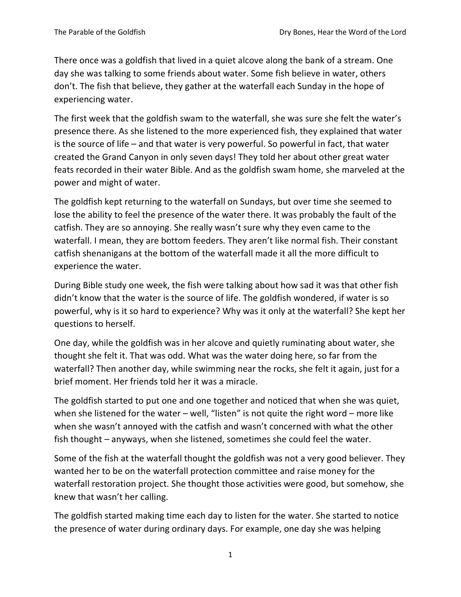There once was a goldfish that lived in a quiet alcove along the bank of a stream. One day she was talking to some friends about water. Some fish believe in water, others don't. The fish that believe, they gather at the waterfall each Sunday in the hope of experiencing water.

The first week that the goldfish swam to the waterfall, she was sure she felt the water's presence there. As she listened to the more experienced fish, they explained that water is the source of life – and that water is very powerful. So powerful in fact, that water created the Grand Canyon in only seven days! They told her about other great water feats recorded in their water Bible. And as the goldfish swam home, she marveled at the power and might of water.

The goldfish kept returning to the waterfall on Sundays, but over time she seemed to lose the ability to feel the presence of the water there. It was probably the fault of the catfish. They are so annoying. She really wasn't sure why they even came to the waterfall. I mean, they are bottom feeders. They aren't like normal fish. Their constant catfish shenanigans at the bottom of the waterfall made it all the more difficult to experience the water.

During Bible study one week, the fish were talking about how sad it was that other fish didn't know that the water is the source of life. The goldfish wondered, if water is so powerful, why is it so hard to experience? Why was it only at the waterfall? She kept her questions to herself.

One day, while the goldfish was in her alcove and quietly ruminating about water, she thought she felt it. That was odd. What was the water doing here, so far from the waterfall? Then another day, while swimming near the rocks, she felt it again, just for a brief moment. Her friends told her it was a miracle.

The goldfish started to put one and one together and noticed that when she was quiet, when she listened for the water – well, "listen" is not quite the right word – more like when she wasn't annoyed with the catfish and wasn't concerned with what the other fish thought – anyways, when she listened, sometimes she could feel the water.

Some of the fish at the waterfall thought the goldfish was not a very good believer. They wanted her to be on the waterfall protection committee and raise money for the waterfall restoration project. She thought those activities were good, but somehow, she knew that wasn't her calling.

The goldfish started making time each day to listen for the water. She started to notice the presence of water during ordinary days. For example, one day she was helping